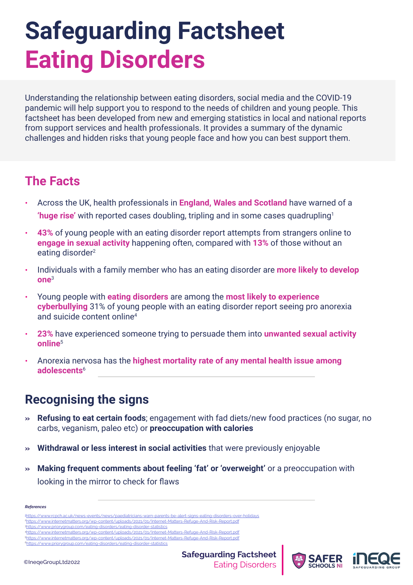# **Safeguarding Factsheet Eating Disorders**

Understanding the relationship between eating disorders, social media and the COVID-19 pandemic will help support you to respond to the needs of children and young people. This factsheet has been developed from new and emerging statistics in local and national reports from support services and health professionals. It provides a summary of the dynamic challenges and hidden risks that young people face and how you can best support them.

### **The Facts**

- **•** Across the UK, health professionals in **England, Wales and Scotland** have warned of a **'huge rise'** with reported cases doubling, tripling and in some cases quadrupling1
- **• 43%** of young people with an eating disorder report attempts from strangers online to **engage in sexual activity** happening often, compared with **13%** of those without an eating disorder<sup>2</sup>
- **•** Individuals with a family member who has an eating disorder are **more likely to develop one**<sup>3</sup>
- **•** Young people with **eating disorders** are among the **most likely to experience cyberbullying** 31% of young people with an eating disorder report seeing pro anorexia and suicide content online4
- **• 23%** have experienced someone trying to persuade them into **unwanted sexual activity online**<sup>5</sup>
- **•** Anorexia nervosa has the **highest mortality rate of any mental health issue among adolescents**<sup>6</sup>

# **Recognising the signs**

- **» Refusing to eat certain foods**; engagement with fad diets/new food practices (no sugar, no carbs, veganism, paleo etc) or **preoccupation with calories**
- **» Withdrawal or less interest in social activities** that were previously enjoyable
- **» Making frequent comments about feeling 'fat' or 'overweight'** or a preoccupation with looking in the mirror to check for flaws

-disorders-over-holidays

| <b>References</b>                                                                                         |
|-----------------------------------------------------------------------------------------------------------|
| 4https://www.rcpch.ac.uk/news-events/news/paediatricians-warn-parents-be-alert-signs-eating-disorders-ove |
| 2https://www.internetmatters.org/wp-content/uploads/2021/01/Internet-Matters-Refuge-And-Risk-Report.pdf   |
| 3https://www.priorygroup.com/eating-disorders/eating-disorder-statistics                                  |
| 4https://www.internetmatters.org/wp-content/uploads/2021/01/Internet-Matters-Refuge-And-Risk-Report.pdf   |
| 5https://www.internetmatters.org/wp-content/uploads/2021/01/Internet-Matters-Refuge-And-Risk-Report.pdf   |

[6https://www.priorygroup.com/eating-disorders/eating-disorder-statistics](https://www.priorygroup.com/eating-disorders/eating-disorder-statistics)



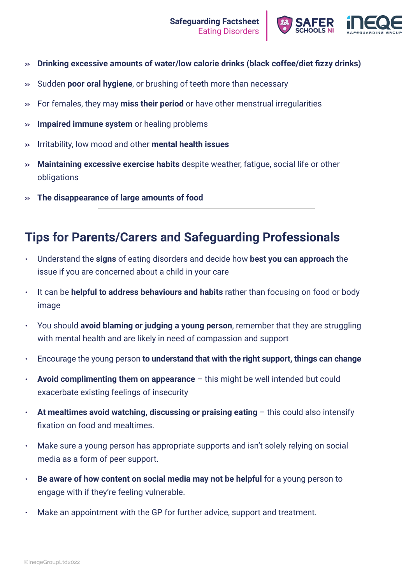

- **» Drinking excessive amounts of water/low calorie drinks (black coffee/diet fizzy drinks)**
- **»** Sudden **poor oral hygiene**, or brushing of teeth more than necessary
- **»** For females, they may **miss their period** or have other menstrual irregularities
- **» Impaired immune system** or healing problems
- **»** Irritability, low mood and other **mental health issues**
- **» Maintaining excessive exercise habits** despite weather, fatigue, social life or other obligations
- **» The disappearance of large amounts of food**

## **Tips for Parents/Carers and Safeguarding Professionals**

- Understand the **signs** of eating disorders and decide how **best you can approach** the issue if you are concerned about a child in your care
- It can be **helpful to address behaviours and habits** rather than focusing on food or body image
- You should **avoid blaming or judging a young person**, remember that they are struggling with mental health and are likely in need of compassion and support
- Encourage the young person **to understand that with the right support, things can change**
- **Avoid complimenting them on appearance** this might be well intended but could exacerbate existing feelings of insecurity
- **At mealtimes avoid watching, discussing or praising eating** this could also intensify fixation on food and mealtimes.
- Make sure a young person has appropriate supports and isn't solely relying on social media as a form of peer support.
- **Be aware of how content on social media may not be helpful** for a young person to engage with if they're feeling vulnerable.
- Make an appointment with the GP for further advice, support and treatment.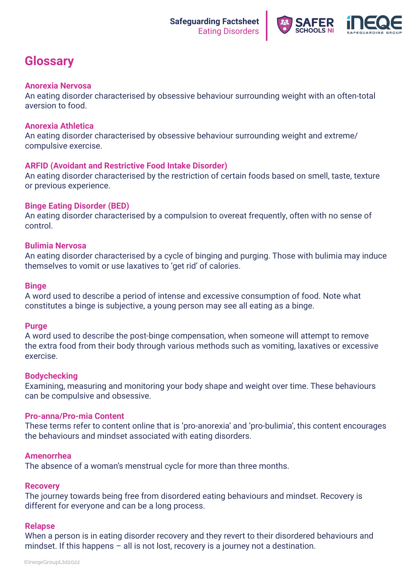

# **Glossary**

#### **Anorexia Nervosa**

An eating disorder characterised by obsessive behaviour surrounding weight with an often-total aversion to food.

#### **Anorexia Athletica**

An eating disorder characterised by obsessive behaviour surrounding weight and extreme/ compulsive exercise.

#### **ARFID (Avoidant and Restrictive Food Intake Disorder)**

An eating disorder characterised by the restriction of certain foods based on smell, taste, texture or previous experience.

#### **Binge Eating Disorder (BED)**

An eating disorder characterised by a compulsion to overeat frequently, often with no sense of control.

#### **Bulimia Nervosa**

An eating disorder characterised by a cycle of binging and purging. Those with bulimia may induce themselves to vomit or use laxatives to 'get rid' of calories.

#### **Binge**

A word used to describe a period of intense and excessive consumption of food. Note what constitutes a binge is subjective, a young person may see all eating as a binge.

#### **Purge**

A word used to describe the post-binge compensation, when someone will attempt to remove the extra food from their body through various methods such as vomiting, laxatives or excessive exercise.

#### **Bodychecking**

Examining, measuring and monitoring your body shape and weight over time. These behaviours can be compulsive and obsessive.

#### **Pro-anna/Pro-mia Content**

These terms refer to content online that is 'pro-anorexia' and 'pro-bulimia', this content encourages the behaviours and mindset associated with eating disorders.

#### **Amenorrhea**

The absence of a woman's menstrual cycle for more than three months.

#### **Recovery**

The journey towards being free from disordered eating behaviours and mindset. Recovery is different for everyone and can be a long process.

#### **Relapse**

When a person is in eating disorder recovery and they revert to their disordered behaviours and mindset. If this happens – all is not lost, recovery is a journey not a destination.